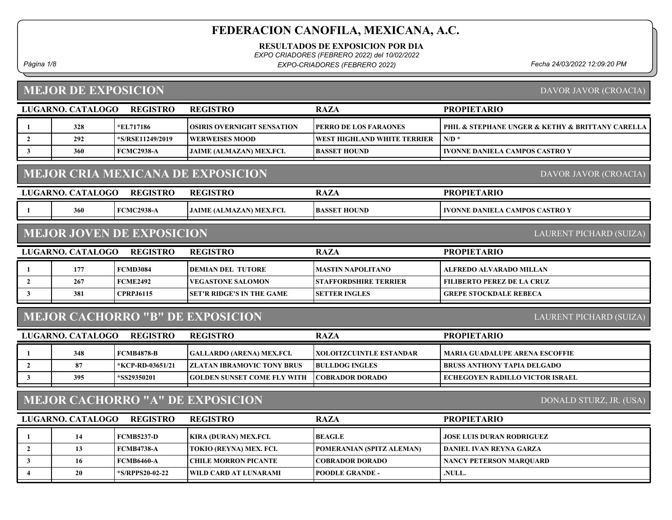RESULTADOS DE EXPOSICION POR DIA

EXPO CRIADORES (FEBRERO 2022) del 10/02/2022

Página 1/8 Fecha 24/03/2022 12:09:20 PM EXPO-CRIADORES (FEBRERO 2022)

# MEJOR DE EXPOSICION

DAVOR JAVOR (CROACIA)

|                | LUGARNO. CATALOGO | <b>REGISTRO</b>                  | <b>REGISTRO</b>                          | <b>RAZA</b>                    | <b>PROPIETARIO</b>                               |
|----------------|-------------------|----------------------------------|------------------------------------------|--------------------------------|--------------------------------------------------|
| -1             | 328               | *EL717186                        | <b>OSIRIS OVERNIGHT SENSATION</b>        | PERRO DE LOS FARAONES          | PHIL & STEPHANE UNGER & KETHY & BRITTANY CARELLA |
| $\overline{2}$ | 292               | *S/RSE11249/2019                 | <b>WERWEISES MOOD</b>                    | WEST HIGHLAND WHITE TERRIER    | $N/D$ *                                          |
| $\mathbf{3}$   | 360               | <b>FCMC2938-A</b>                | <b>JAIME (ALMAZAN) MEX.FCI.</b>          | <b>BASSET HOUND</b>            | <b>IVONNE DANIELA CAMPOS CASTRO Y</b>            |
|                |                   |                                  | <b>MEJOR CRIA MEXICANA DE EXPOSICION</b> |                                | DAVOR JAVOR (CROACIA)                            |
|                | LUGARNO. CATALOGO | <b>REGISTRO</b>                  | <b>REGISTRO</b>                          | <b>RAZA</b>                    | <b>PROPIETARIO</b>                               |
| $\mathbf{1}$   | 360               | <b>FCMC2938-A</b>                | <b>JAIME (ALMAZAN) MEX.FCI.</b>          | <b>BASSET HOUND</b>            | <b>IVONNE DANIELA CAMPOS CASTRO Y</b>            |
|                |                   | <b>MEJOR JOVEN DE EXPOSICION</b> |                                          |                                | LAURENT PICHARD (SUIZA)                          |
|                | LUGARNO. CATALOGO | <b>REGISTRO</b>                  | <b>REGISTRO</b>                          | <b>RAZA</b>                    | <b>PROPIETARIO</b>                               |
| $\mathbf{1}$   | 177               | <b>FCMD3084</b>                  | <b>DEMIAN DEL TUTORE</b>                 | <b>MASTIN NAPOLITANO</b>       | ALFREDO ALVARADO MILLAN                          |
| $\overline{2}$ | 267               | <b>FCME2492</b>                  | <b>VEGASTONE SALOMON</b>                 | <b>STAFFORDSHIRE TERRIER</b>   | <b>FILIBERTO PEREZ DE LA CRUZ</b>                |
| $\mathbf{3}$   | 381               | <b>CPRPJ6115</b>                 | <b>SET'R RIDGE'S IN THE GAME</b>         | <b>SETTER INGLES</b>           | <b>GREPE STOCKDALE REBECA</b>                    |
|                |                   |                                  | <b>MEJOR CACHORRO "B" DE EXPOSICION</b>  |                                | <b>LAURENT PICHARD (SUIZA)</b>                   |
|                | LUGARNO. CATALOGO | <b>REGISTRO</b>                  | <b>REGISTRO</b>                          | <b>RAZA</b>                    | <b>PROPIETARIO</b>                               |
| -1             | 348               | <b>FCMB4878-B</b>                | <b>GALLARDO (ARENA) MEX.FCI.</b>         | <b>XOLOITZCUINTLE ESTANDAR</b> | <b>MARIA GUADALUPE ARENA ESCOFFIE</b>            |
| $\overline{2}$ | 87                | *KCP-RD-03651/21                 | <b>ZLATAN IBRAMOVIC TONY BRUS</b>        | <b>BULLDOG INGLES</b>          | <b>BRUSS ANTHONY TAPIA DELGADO</b>               |
| $\mathbf{3}$   | 395               | *SS29350201                      | <b>GOLDEN SUNSET COME FLY WITH</b>       | <b>COBRADOR DORADO</b>         | <b>ECHEGOYEN RADILLO VICTOR ISRAEL</b>           |
|                |                   |                                  | <b>MEJOR CACHORRO "A" DE EXPOSICION</b>  |                                | DONALD STURZ, JR. (USA)                          |
|                | LUGARNO. CATALOGO | <b>REGISTRO</b>                  | <b>REGISTRO</b>                          | <b>RAZA</b>                    | <b>PROPIETARIO</b>                               |
| $\mathbf{1}$   | 14                | <b>FCMB5237-D</b>                | KIRA (DURAN) MEX.FCI.                    | <b>BEAGLE</b>                  | <b>JOSE LUIS DURAN RODRIGUEZ</b>                 |
| $\overline{2}$ | 13                | <b>FCMB4738-A</b>                | TOKIO (REYNA) MEX. FCI.                  | POMERANIAN (SPITZ ALEMAN)      | <b>DANIEL IVAN REYNA GARZA</b>                   |
| $\mathbf{3}$   | 16                | <b>FCMB6460-A</b>                | <b>CHILE MORRON PICANTE</b>              | <b>COBRADOR DORADO</b>         | <b>NANCY PETERSON MARQUARD</b>                   |
| $\overline{4}$ | 20                | *S/RPPS20-02-22                  | WILD CARD AT LUNARAMI                    | <b>POODLE GRANDE -</b>         | .NULL.                                           |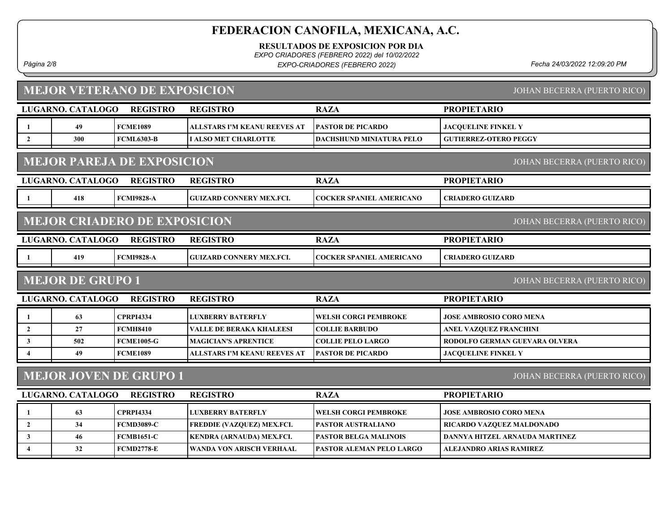RESULTADOS DE EXPOSICION POR DIA

EXPO CRIADORES (FEBRERO 2022) del 10/02/2022

Página 2/8 Fecha 24/03/2022 12:09:20 PM EXPO-CRIADORES (FEBRERO 2022)

# MEJOR VETERANO DE EXPOSICION

JOHAN BECERRA (PUERTO RICO)

|                         | LUGARNO. CATALOGO       | <b>REGISTRO</b>                     | <b>REGISTRO</b>                 | <b>RAZA</b>                     | <b>PROPIETARIO</b>                 |
|-------------------------|-------------------------|-------------------------------------|---------------------------------|---------------------------------|------------------------------------|
| -1                      | 49                      | <b>FCME1089</b>                     | ALLSTARS I'M KEANU REEVES AT    | <b>PASTOR DE PICARDO</b>        | <b>JACQUELINE FINKEL Y</b>         |
| $\overline{2}$          | 300                     | <b>FCML6303-B</b>                   | <b>I ALSO MET CHARLOTTE</b>     | <b>DACHSHUND MINIATURA PELO</b> | <b>GUTIERREZ-OTERO PEGGY</b>       |
|                         |                         | <b>MEJOR PAREJA DE EXPOSICION</b>   |                                 |                                 | JOHAN BECERRA (PUERTO RICO)        |
|                         | LUGARNO. CATALOGO       | <b>REGISTRO</b>                     | <b>REGISTRO</b>                 | <b>RAZA</b>                     | <b>PROPIETARIO</b>                 |
|                         | 418                     | <b>FCMI9828-A</b>                   | <b>GUIZARD CONNERY MEX.FCI.</b> | <b>COCKER SPANIEL AMERICANO</b> | <b>CRIADERO GUIZARD</b>            |
|                         |                         | <b>MEJOR CRIADERO DE EXPOSICION</b> |                                 |                                 | JOHAN BECERRA (PUERTO RICO)        |
|                         | LUGARNO. CATALOGO       | <b>REGISTRO</b>                     | <b>REGISTRO</b>                 | <b>RAZA</b>                     | <b>PROPIETARIO</b>                 |
|                         | 419                     | <b>FCMI9828-A</b>                   | <b>GUIZARD CONNERY MEX.FCI.</b> | <b>COCKER SPANIEL AMERICANO</b> | <b>CRIADERO GUIZARD</b>            |
|                         | <b>MEJOR DE GRUPO 1</b> |                                     |                                 |                                 |                                    |
|                         |                         |                                     |                                 |                                 | JOHAN BECERRA (PUERTO RICO)        |
|                         | LUGARNO. CATALOGO       | <b>REGISTRO</b>                     | <b>REGISTRO</b>                 | <b>RAZA</b>                     | <b>PROPIETARIO</b>                 |
| -1                      | 63                      | <b>CPRPI4334</b>                    | <b>LUXBERRY BATERFLY</b>        | <b>WELSH CORGI PEMBROKE</b>     | <b>JOSE AMBROSIO CORO MENA</b>     |
| $\overline{2}$          | 27                      | <b>FCMH8410</b>                     | <b>VALLE DE BERAKA KHALEESI</b> | <b>COLLIE BARBUDO</b>           | <b>ANEL VAZOUEZ FRANCHINI</b>      |
| $\mathbf{3}$            | 502                     | <b>FCME1005-G</b>                   | <b>MAGICIAN'S APRENTICE</b>     | <b>COLLIE PELO LARGO</b>        | RODOLFO GERMAN GUEVARA OLVERA      |
| $\overline{\mathbf{4}}$ | 49                      | <b>FCME1089</b>                     | ALLSTARS I'M KEANU REEVES AT    | <b>PASTOR DE PICARDO</b>        | <b>JACQUELINE FINKEL Y</b>         |
|                         |                         | <b>MEJOR JOVEN DE GRUPO 1</b>       |                                 |                                 | <b>JOHAN BECERRA (PUERTO RICO)</b> |
|                         | LUGARNO. CATALOGO       | <b>REGISTRO</b>                     | <b>REGISTRO</b>                 | <b>RAZA</b>                     | <b>PROPIETARIO</b>                 |
| -1                      | 63                      | <b>CPRPI4334</b>                    | <b>LUXBERRY BATERFLY</b>        | <b>WELSH CORGI PEMBROKE</b>     | <b>JOSE AMBROSIO CORO MENA</b>     |
| $\overline{2}$          | 34                      | <b>FCMD3089-C</b>                   | FREDDIE (VAZQUEZ) MEX.FCI.      | <b>PASTOR AUSTRALIANO</b>       | RICARDO VAZQUEZ MALDONADO          |
| $\mathbf{3}$            | 46                      | <b>FCMB1651-C</b>                   | KENDRA (ARNAUDA) MEX.FCI.       | <b>PASTOR BELGA MALINOIS</b>    | DANNYA HITZEL ARNAUDA MARTINEZ     |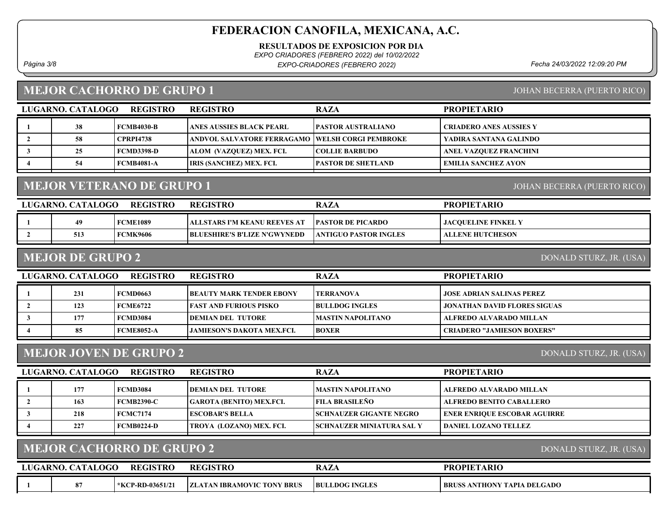RESULTADOS DE EXPOSICION POR DIA

EXPO CRIADORES (FEBRERO 2022) del 10/02/2022

Página 3/8 Fecha 24/03/2022 12:09:20 PM EXPO-CRIADORES (FEBRERO 2022)

#### MEJOR CACHORRO DE GRUPO 1

| <b>JOHAN BECERRA (PUERTO RICO)</b> |  |
|------------------------------------|--|
|                                    |  |

| LUGARNO. CATALOGO | <b>REGISTRO</b>   | <b>REGISTRO</b>                                    | <b>RAZA</b>               | <b>PROPIETARIO</b>             |
|-------------------|-------------------|----------------------------------------------------|---------------------------|--------------------------------|
| 38                | <b>FCMB4030-B</b> | ANES AUSSIES BLACK PEARL                           | <b>PASTOR AUSTRALIANO</b> | <b>CRIADERO ANES AUSSIES Y</b> |
| 58                | <b>CPRPI4738</b>  | ANDVOL SALVATORE FERRAGAMO    WELSH CORGI PEMBROKE |                           | YADIRA SANTANA GALINDO         |
| 25                | <b>FCMD3398-D</b> | ALOM (VAZOUEZ) MEX. FCI.                           | <b>COLLIE BARBUDO</b>     | ANEL VAZQUEZ FRANCHINI         |
| 54                | <b>FCMB4081-A</b> | <b>IRIS (SANCHEZ) MEX. FCI.</b>                    | <b>PASTOR DE SHETLAND</b> | <b>EMILIA SANCHEZ AYON</b>     |
|                   |                   |                                                    |                           |                                |

## MEJOR VETERANO DE GRUPO 1

JOHAN BECERRA (PUERTO RICO)

| LUGARNO. CATALOGO- | <b>REGISTRO</b> | <b>REGISTRO</b>                     | <b>RAZA</b>               | <b>PROPIETARIO</b>         |
|--------------------|-----------------|-------------------------------------|---------------------------|----------------------------|
|                    | <b>FCME1089</b> | ! ALLSTARS I'M KEANU REEVES AT      | <b>IPASTOR DE PICARDO</b> | <b>JACOUELINE FINKEL Y</b> |
| 513                | <b>FCMK9606</b> | <b>BLUESHIRE'S B'LIZE N'GWYNEDD</b> | ANTIGUO PASTOR INGLES     | <b>ALLENE HUTCHESON</b>    |

#### MEJOR DE GRUPO 2

DONALD STURZ, JR. (USA)

| LUGARNO. CATALOGO | <b>REGISTRO</b> | <b>REGISTRO</b>                 | <b>RAZA</b>           | <b>PROPIETARIO</b>                  |
|-------------------|-----------------|---------------------------------|-----------------------|-------------------------------------|
| 231               | FCMD0663        | <b>BEAUTY MARK TENDER EBONY</b> | <b>TERRANOVA</b>      | <b>JOSE ADRIAN SALINAS PEREZ</b>    |
| 123               | FCME6722        | <b>FAST AND FURIOUS PISKO</b>   | <b>BULLDOG INGLES</b> | <b>JONATHAN DAVID FLORES SIGUAS</b> |
| 177               | <b>FCMD3084</b> | <b>IDEMIAN DEL TUTORE</b>       | MASTIN NAPOLITANO     | ALFREDO ALVARADO MILLAN             |
| 85                | FCME8052-A      | JAMIESON'S DAKOTA MEX.FCI.      | <b>BOXER</b>          | <b>CRIADERO "JAMIESON BOXERS"</b>   |
|                   |                 |                                 |                       |                                     |

# MEJOR JOVEN DE GRUPO 2

DONALD STURZ, JR. (USA)

DONALD STURZ, JR. (USA)

| LUGARNO. CATALOGO | <b>REGISTRO</b>   | <b>REGISTRO</b>                 | <b>RAZA</b>                      | <b>PROPIETARIO</b>           |
|-------------------|-------------------|---------------------------------|----------------------------------|------------------------------|
| 177               | <b>FCMD3084</b>   | <b>IDEMIAN DEL TUTORE</b>       | <b>MASTIN NAPOLITANO</b>         | ALFREDO ALVARADO MILLAN      |
| 163               | <b>FCMB2390-C</b> | <b>GAROTA (BENITO) MEX.FCI.</b> | <b>FILA BRASILEÑO</b>            | ALFREDO BENITO CABALLERO     |
| 218               | <b>FCMC7174</b>   | <b> ESCOBAR'S BELLA</b>         | <b>SCHNAUZER GIGANTE NEGRO</b>   | ENER ENRIQUE ESCOBAR AGUIRRE |
| 227               | FCMB0224-D        | TROYA  (LOZANO) MEX. FCI.       | <b>SCHNAUZER MINIATURA SAL Y</b> | DANIEL LOZANO TELLEZ-        |

#### MEJOR CACHORRO DE GRUPO 2

| <b>LUGARNO. C</b> | . CATALOGO | <b>REGISTRO</b>  | <b>REGISTRC</b>                   | D A 7<br>$\bm{A} \bm{L} \bm{P}$ | <b>PROPIETARIO</b>                 |
|-------------------|------------|------------------|-----------------------------------|---------------------------------|------------------------------------|
|                   |            | *KCP-RD-03651/21 | <b>ELATAN IBRAMOVIC TONY BRUS</b> | <b>BULLDOG INGLES</b>           | <b>BRUSS ANTHONY TAPIA DELGADO</b> |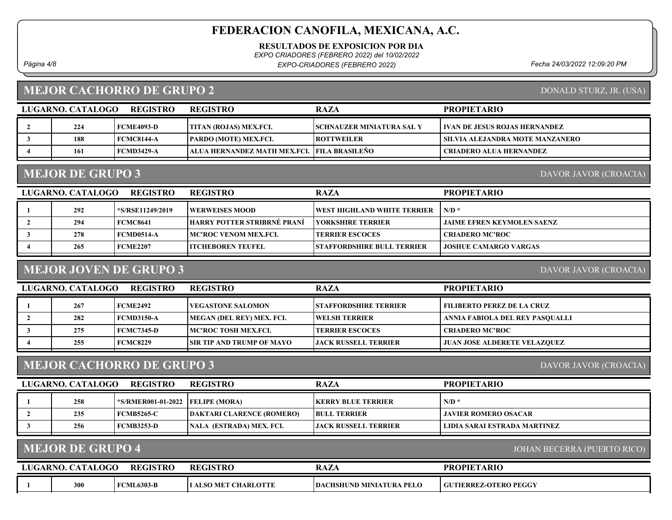RESULTADOS DE EXPOSICION POR DIA

EXPO CRIADORES (FEBRERO 2022) del 10/02/2022

Página 4/8 Fecha 24/03/2022 12:09:20 PM EXPO-CRIADORES (FEBRERO 2022)

MEJOR CACHORRO DE GRUPO 2

#### LUGARNO. CATALOGO REGISTRO REGISTRO NAZA PROPIETARIO REGISTRO 2 224 FCME4093-D TITAN (ROJAS) MEX.FCI. SCHNAUZER MINIATURA SAL Y VAN DE JESUS ROJAS HERNANDEZ 3 | 188 FCMC8144-A PARDO (MOTE) MEX.FCI. | ROTTWEILER | SILVIA ALEJANDRA MOTE MANZANERO 4 161 FCMD3429-A ALUA HERNANDEZ MATH MEX.FCI. FILA BRASILEÑO CRIADERO ALUA HERNANDEZ

#### MEJOR DE GRUPO 3

DAVOR JAVOR (CROACIA)

| LUGARNO. CATALOGO | <b>REGISTRO</b>  | <b>REGISTRO</b>             | <b>RAZA</b>                       | <b>PROPIETARIO</b>                |
|-------------------|------------------|-----------------------------|-----------------------------------|-----------------------------------|
| 292               | *S/RSE11249/2019 | WERWEISES MOOD_             | WEST HIGHLAND WHITE TERRIER_      | $N/D$ *                           |
| 294               | <b>FCMC8641</b>  | HARRY POTTER STRIBRNÉ PRANÍ | YORKSHIRE TERRIER                 | <b>JAIME EFREN KEYMOLEN SAENZ</b> |
| 278               | FCMD0514-A       | MC'ROC VENOM MEX.FCI.       | <b>TERRIER ESCOCES</b>            | <b>CRIADERO MC'ROC</b>            |
| 265               | <b>FCME2207</b>  | <b>ITCHEBOREN TEUFEL</b>    | <b>STAFFORDSHIRE BULL TERRIER</b> | <b>JOSHUE CAMARGO VARGAS</b>      |

## MEJOR JOVEN DE GRUPO 3

DAVOR JAVOR (CROACIA)

| LUGARNO. CATALOGO | <b>REGISTRO</b> | <b>REGISTRO</b>                  | <b>RAZA</b>                   | <b>PROPIETARIO</b>              |
|-------------------|-----------------|----------------------------------|-------------------------------|---------------------------------|
| 267               | <b>FCME2492</b> | <b> VEGASTONE SALOMON</b>        | <b>ISTAFFORDSHIRE TERRIER</b> | FILIBERTO PEREZ DE LA CRUZ      |
| 282               | FCMD3150-A      | MEGAN (DEL REY) MEX. FCI.        | <b>IWELSH TERRIER</b>         | ANNIA FABIOLA DEL REY PASOUALLI |
| 275               | FCMC7345-D      | MC'ROC TOSH MEX.FCI.             | <b>I TERRIER ESCOCES</b>      | CRIADERO MC'ROC                 |
| 255               | FCMC8229        | <b>SIR TIP AND TRUMP OF MAYO</b> | <b>LJACK RUSSELL TERRIER</b>  | JUAN JOSE ALDERETE VELAZOUEZ    |

## MEJOR CACHORRO DE GRUPO 3

LUGARNO. CATALOGO REGISTRO REGISTRO RAZA PROPIETARIO 1 258 \*S/RMER001-01-2022 FELIPE (MORA) KERRY BLUE TERRIER N/D \* 2 235 FCMB5265-C DAKTARI CLARENCE (ROMERO) BULL TERRIER JAVIER ROMERO OSACAR 3 256 FCMB3253-D NALA (ESTRADA) MEX. FCI. JACK RUSSELL TERRIER LIDIA SARAI ESTRADA MARTINEZ

#### MEJOR DE GRUPO 4

JOHAN BECERRA (PUERTO RICO)

| <b>LUGARNO. C.</b> | . CATALOGO | <b>REGISTRO</b>   | <b>REGISTRC</b>             | <b>RAZA</b>                     | <b>PROPIETARIO</b>           |
|--------------------|------------|-------------------|-----------------------------|---------------------------------|------------------------------|
|                    | 300        | <b>FCML6303-B</b> | <b>I ALSO MET CHARLOTTE</b> | <b>DACHSHUND MINIATURA PELO</b> | <b>GUTIERREZ-OTERO PEGGY</b> |

DONALD STURZ, JR. (USA)

#### DAVOR JAVOR (CROACIA)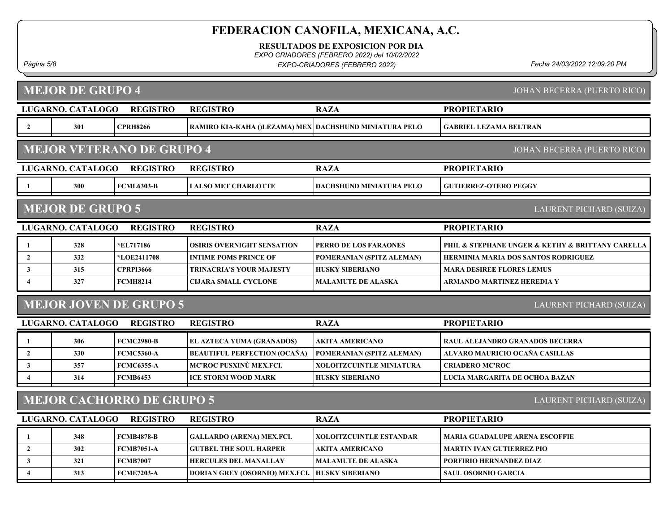RESULTADOS DE EXPOSICION POR DIA

EXPO CRIADORES (FEBRERO 2022) del 10/02/2022

Página 5/8 Fecha 24/03/2022 12:09:20 PM EXPO-CRIADORES (FEBRERO 2022)

# MEJOR DE GRUPO 4

JOHAN BECERRA (PUERTO RICO)

|                         | <b>LUGARNO. CATALOGO</b> | <b>REGISTRO</b>                  | <b>REGISTRO</b>                                        | <b>RAZA</b>                     | <b>PROPIETARIO</b>                               |
|-------------------------|--------------------------|----------------------------------|--------------------------------------------------------|---------------------------------|--------------------------------------------------|
| $\overline{2}$          | 301                      | <b>CPRH8266</b>                  | RAMIRO KIA-KAHA ()LEZAMA) MEX DACHSHUND MINIATURA PELO |                                 | <b>GABRIEL LEZAMA BELTRAN</b>                    |
|                         |                          | <b>MEJOR VETERANO DE GRUPO 4</b> |                                                        |                                 | JOHAN BECERRA (PUERTO RICO)                      |
|                         | LUGARNO. CATALOGO        | <b>REGISTRO</b>                  | <b>REGISTRO</b>                                        | <b>RAZA</b>                     | <b>PROPIETARIO</b>                               |
|                         | 300                      | <b>FCML6303-B</b>                | <b>I ALSO MET CHARLOTTE</b>                            | <b>DACHSHUND MINIATURA PELO</b> | <b>GUTIERREZ-OTERO PEGGY</b>                     |
|                         | <b>MEJOR DE GRUPO 5</b>  |                                  |                                                        |                                 | LAURENT PICHARD (SUIZA)                          |
|                         | LUGARNO. CATALOGO        | <b>REGISTRO</b>                  | <b>REGISTRO</b>                                        | <b>RAZA</b>                     | <b>PROPIETARIO</b>                               |
| -1                      | 328                      | *EL717186                        | <b>OSIRIS OVERNIGHT SENSATION</b>                      | PERRO DE LOS FARAONES           | PHIL & STEPHANE UNGER & KETHY & BRITTANY CARELLA |
| $\overline{2}$          | 332                      | *LOE2411708                      | <b>INTIME POMS PRINCE OF</b>                           | POMERANIAN (SPITZ ALEMAN)       | HERMINIA MARIA DOS SANTOS RODRIGUEZ              |
| $\mathbf{3}$            | 315                      | <b>CPRPI3666</b>                 | TRINACRIA'S YOUR MAJESTY                               | <b>HUSKY SIBERIANO</b>          | <b>MARA DESIREE FLORES LEMUS</b>                 |
| $\overline{\mathbf{4}}$ | 327                      | <b>FCMH8214</b>                  | <b>CIJARA SMALL CYCLONE</b>                            | <b>MALAMUTE DE ALASKA</b>       | <b>ARMANDO MARTINEZ HEREDIA Y</b>                |
|                         |                          |                                  |                                                        |                                 |                                                  |
|                         |                          | <b>MEJOR JOVEN DE GRUPO 5</b>    |                                                        |                                 | LAURENT PICHARD (SUIZA)                          |
|                         | LUGARNO. CATALOGO        | <b>REGISTRO</b>                  | <b>REGISTRO</b>                                        | <b>RAZA</b>                     | <b>PROPIETARIO</b>                               |
| $\mathbf{1}$            | 306                      | <b>FCMC2980-B</b>                | EL AZTECA YUMA (GRANADOS)                              | <b>AKITA AMERICANO</b>          | <b>RAUL ALEJANDRO GRANADOS BECERRA</b>           |
| $\overline{2}$          | 330                      | <b>FCMC5360-A</b>                | <b>BEAUTIFUL PERFECTION (OCAÑA)</b>                    | POMERANIAN (SPITZ ALEMAN)       | ALVARO MAURICIO OCAÑA CASILLAS                   |
| 3                       | 357                      | <b>FCMC6355-A</b>                | MC'ROC PUSXINÙ MEX.FCI.                                | XOLOITZCUINTLE MINIATURA        | <b>CRIADERO MC'ROC</b>                           |
| $\overline{4}$          | 314                      | <b>FCMB6453</b>                  | <b>ICE STORM WOOD MARK</b>                             | <b>HUSKY SIBERIANO</b>          | LUCIA MARGARITA DE OCHOA BAZAN                   |
|                         |                          | <b>MEJOR CACHORRO DE GRUPO 5</b> |                                                        |                                 | LAURENT PICHARD (SUIZA)                          |
|                         | <b>LUGARNO. CATALOGO</b> | <b>REGISTRO</b>                  | <b>REGISTRO</b>                                        | <b>RAZA</b>                     | <b>PROPIETARIO</b>                               |
| -1                      | 348                      | <b>FCMB4878-B</b>                | <b>GALLARDO (ARENA) MEX.FCI.</b>                       | <b>XOLOITZCUINTLE ESTANDAR</b>  | MARIA GUADALUPE ARENA ESCOFFIE                   |
| $\overline{2}$          | 302                      | <b>FCMB7051-A</b>                | <b>GUTBEL THE SOUL HARPER</b>                          | AKITA AMERICANO                 | <b>MARTIN IVAN GUTIERREZ PIO</b>                 |
| $\mathbf{3}$            | 321                      | <b>FCMB7007</b>                  | <b>HERCULES DEL MANALLAY</b>                           | <b>MALAMUTE DE ALASKA</b>       | PORFIRIO HERNANDEZ DIAZ                          |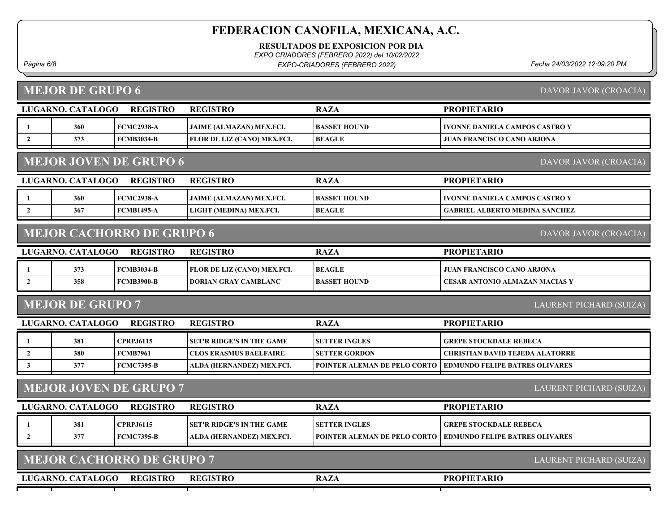RESULTADOS DE EXPOSICION POR DIA

EXPO CRIADORES (FEBRERO 2022) del 10/02/2022

Página 6/8 Fecha 24/03/2022 12:09:20 PM EXPO-CRIADORES (FEBRERO 2022)

MEJOR DE GRUPO 6

DAVOR JAVOR (CROACIA)

|                                                           | <b>PROPIETARIO</b><br>LUGARNO. CATALOGO<br><b>REGISTRO</b><br><b>REGISTRO</b><br><b>RAZA</b> |                                  |                                  |                              |                                        |  |  |  |
|-----------------------------------------------------------|----------------------------------------------------------------------------------------------|----------------------------------|----------------------------------|------------------------------|----------------------------------------|--|--|--|
|                                                           | 360                                                                                          | <b>FCMC2938-A</b>                | <b>JAIME (ALMAZAN) MEX.FCI.</b>  | <b>BASSET HOUND</b>          | <b>IVONNE DANIELA CAMPOS CASTRO Y</b>  |  |  |  |
| $\overline{2}$                                            | 373                                                                                          | <b>FCMB3034-B</b>                | FLOR DE LIZ (CANO) MEX.FCI.      | <b>BEAGLE</b>                | <b>JUAN FRANCISCO CANO ARJONA</b>      |  |  |  |
|                                                           |                                                                                              |                                  |                                  |                              |                                        |  |  |  |
|                                                           | <b>MEJOR JOVEN DE GRUPO 6</b><br>DAVOR JAVOR (CROACIA)                                       |                                  |                                  |                              |                                        |  |  |  |
|                                                           | LUGARNO. CATALOGO                                                                            | <b>REGISTRO</b>                  | <b>REGISTRO</b>                  | <b>RAZA</b>                  | <b>PROPIETARIO</b>                     |  |  |  |
| 1                                                         | 360                                                                                          | <b>FCMC2938-A</b>                | <b>JAIME (ALMAZAN) MEX.FCI.</b>  | <b>BASSET HOUND</b>          | <b>IVONNE DANIELA CAMPOS CASTRO Y</b>  |  |  |  |
| $\overline{2}$                                            | 367                                                                                          | <b>FCMB1495-A</b>                | LIGHT (MEDINA) MEX.FCI.          | <b>BEAGLE</b>                | <b>GABRIEL ALBERTO MEDINA SANCHEZ</b>  |  |  |  |
|                                                           |                                                                                              |                                  |                                  |                              |                                        |  |  |  |
|                                                           |                                                                                              | <b>MEJOR CACHORRO DE GRUPO 6</b> |                                  |                              | DAVOR JAVOR (CROACIA)                  |  |  |  |
|                                                           | LUGARNO. CATALOGO                                                                            | <b>REGISTRO</b>                  | <b>REGISTRO</b>                  | <b>RAZA</b>                  | <b>PROPIETARIO</b>                     |  |  |  |
| 1                                                         | 373                                                                                          | <b>FCMB3034-B</b>                | FLOR DE LIZ (CANO) MEX.FCI.      | <b>BEAGLE</b>                | <b>JUAN FRANCISCO CANO ARJONA</b>      |  |  |  |
| $\overline{2}$                                            | 358                                                                                          | <b>FCMB3900-B</b>                | <b>DORIAN GRAY CAMBLANC</b>      | <b>BASSET HOUND</b>          | <b>CESAR ANTONIO ALMAZAN MACIAS Y</b>  |  |  |  |
| <b>MEJOR DE GRUPO 7</b><br><b>LAURENT PICHARD (SUIZA)</b> |                                                                                              |                                  |                                  |                              |                                        |  |  |  |
|                                                           |                                                                                              |                                  |                                  |                              |                                        |  |  |  |
|                                                           | LUGARNO. CATALOGO                                                                            | <b>REGISTRO</b>                  | <b>REGISTRO</b>                  | <b>RAZA</b>                  | <b>PROPIETARIO</b>                     |  |  |  |
| 1                                                         | 381                                                                                          | <b>CPRPJ6115</b>                 | SET'R RIDGE'S IN THE GAME        | <b>SETTER INGLES</b>         | <b>GREPE STOCKDALE REBECA</b>          |  |  |  |
| $\overline{2}$                                            | 380                                                                                          | <b>FCMB7961</b>                  | <b>CLOS ERASMUS BAELFAIRE</b>    | <b>SETTER GORDON</b>         | <b>CHRISTIAN DAVID TEJEDA ALATORRE</b> |  |  |  |
| 3                                                         | 377                                                                                          | <b>FCMC7395-B</b>                | ALDA (HERNANDEZ) MEX.FCI.        | POINTER ALEMAN DE PELO CORTO | <b>EDMUNDO FELIPE BATRES OLIVARES</b>  |  |  |  |
|                                                           |                                                                                              | <b>MEJOR JOVEN DE GRUPO 7</b>    |                                  |                              | LAURENT PICHARD (SUIZA)                |  |  |  |
|                                                           | LUGARNO. CATALOGO                                                                            | <b>REGISTRO</b>                  | <b>REGISTRO</b>                  | <b>RAZA</b>                  | <b>PROPIETARIO</b>                     |  |  |  |
| -1                                                        | 381                                                                                          | <b>CPRPJ6115</b>                 | <b>SET'R RIDGE'S IN THE GAME</b> | <b>SETTER INGLES</b>         | <b>GREPE STOCKDALE REBECA</b>          |  |  |  |
| $\overline{2}$                                            | 377                                                                                          | <b>FCMC7395-B</b>                | ALDA (HERNANDEZ) MEX.FCI.        | POINTER ALEMAN DE PELO CORTO | <b>EDMUNDO FELIPE BATRES OLIVARES</b>  |  |  |  |
|                                                           |                                                                                              | <b>MEJOR CACHORRO DE GRUPO 7</b> |                                  |                              | LAURENT PICHARD (SUIZA)                |  |  |  |
|                                                           | <b>LUGARNO. CATALOGO</b>                                                                     | REGISTRO                         | <b>REGISTRO</b>                  | <b>RAZA</b>                  | <b>PROPIETARIO</b>                     |  |  |  |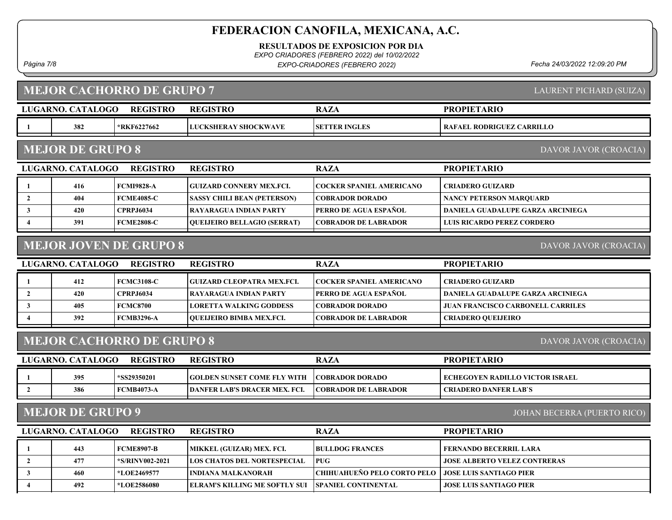RESULTADOS DE EXPOSICION POR DIA

EXPO CRIADORES (FEBRERO 2022) del 10/02/2022

Página 7/8 Fecha 24/03/2022 12:09:20 PM EXPO-CRIADORES (FEBRERO 2022)

|                                                        | <b>MEJOR CACHORRO DE GRUPO 7</b><br>LAURENT PICHARD (SUIZA) |                                  |                                      |                                 |                                          |  |  |  |
|--------------------------------------------------------|-------------------------------------------------------------|----------------------------------|--------------------------------------|---------------------------------|------------------------------------------|--|--|--|
|                                                        | LUGARNO. CATALOGO                                           | <b>REGISTRO</b>                  | <b>REGISTRO</b>                      | <b>RAZA</b>                     | <b>PROPIETARIO</b>                       |  |  |  |
| $\mathbf{1}$                                           | 382                                                         | <b>RKF6227662</b>                | LUCKSHERAY SHOCKWAVE                 | <b>SETTER INGLES</b>            | <b>RAFAEL RODRIGUEZ CARRILLO</b>         |  |  |  |
|                                                        | <b>MEJOR DE GRUPO 8</b><br>DAVOR JAVOR (CROACIA)            |                                  |                                      |                                 |                                          |  |  |  |
|                                                        | LUGARNO. CATALOGO                                           | <b>REGISTRO</b>                  | <b>REGISTRO</b>                      | <b>RAZA</b>                     | <b>PROPIETARIO</b>                       |  |  |  |
| 1                                                      | 416                                                         | <b>FCMI9828-A</b>                | <b>GUIZARD CONNERY MEX.FCI.</b>      | <b>COCKER SPANIEL AMERICANO</b> | <b>CRIADERO GUIZARD</b>                  |  |  |  |
| $\overline{2}$                                         | 404                                                         | <b>FCME4085-C</b>                | <b>SASSY CHILI BEAN (PETERSON)</b>   | <b>COBRADOR DORADO</b>          | <b>NANCY PETERSON MARQUARD</b>           |  |  |  |
| $\mathbf{3}$                                           | 420                                                         | <b>CPRPJ6034</b>                 | <b>RAYARAGUA INDIAN PARTY</b>        | PERRO DE AGUA ESPAÑOL           | DANIELA GUADALUPE GARZA ARCINIEGA        |  |  |  |
| $\overline{\mathbf{4}}$                                | 391                                                         | <b>FCME2808-C</b>                | <b>OUEIJEIRO BELLAGIO (SERRAT)</b>   | <b>COBRADOR DE LABRADOR</b>     | <b>LUIS RICARDO PEREZ CORDERO</b>        |  |  |  |
|                                                        |                                                             | <b>MEJOR JOVEN DE GRUPO 8</b>    |                                      |                                 | DAVOR JAVOR (CROACIA)                    |  |  |  |
|                                                        | LUGARNO. CATALOGO                                           | <b>REGISTRO</b>                  | <b>REGISTRO</b>                      | <b>RAZA</b>                     | <b>PROPIETARIO</b>                       |  |  |  |
| -1                                                     | 412                                                         | <b>FCMC3108-C</b>                | <b>GUIZARD CLEOPATRA MEX.FCI.</b>    | <b>COCKER SPANIEL AMERICANO</b> | <b>CRIADERO GUIZARD</b>                  |  |  |  |
| $\overline{2}$                                         | 420                                                         | <b>CPRPJ6034</b>                 | <b>RAYARAGUA INDIAN PARTY</b>        | PERRO DE AGUA ESPAÑOL           | <b>DANIELA GUADALUPE GARZA ARCINIEGA</b> |  |  |  |
| $\mathbf{3}$                                           | 405                                                         | <b>FCMC8700</b>                  | <b>LORETTA WALKING GODDESS</b>       | <b>COBRADOR DORADO</b>          | <b>JUAN FRANCISCO CARBONELL CARRILES</b> |  |  |  |
|                                                        | 392                                                         | <b>FCMB3296-A</b>                | <b>OUEIJEIRO BIMBA MEX.FCI.</b>      | <b>COBRADOR DE LABRADOR</b>     | <b>CRIADERO QUEIJEIRO</b>                |  |  |  |
|                                                        |                                                             | <b>MEJOR CACHORRO DE GRUPO 8</b> |                                      |                                 | DAVOR JAVOR (CROACIA)                    |  |  |  |
|                                                        | LUGARNO. CATALOGO                                           | <b>REGISTRO</b>                  | <b>REGISTRO</b>                      | <b>RAZA</b>                     | <b>PROPIETARIO</b>                       |  |  |  |
| 1                                                      | 395                                                         | *SS29350201                      | <b>GOLDEN SUNSET COME FLY WITH</b>   | <b>COBRADOR DORADO</b>          | <b>ECHEGOYEN RADILLO VICTOR ISRAEL</b>   |  |  |  |
| $\overline{2}$                                         | 386                                                         | <b>FCMB4073-A</b>                | <b>DANFER LAB'S DRACER MEX. FCI.</b> | <b>COBRADOR DE LABRADOR</b>     | <b>CRIADERO DANFER LAB'S</b>             |  |  |  |
| <b>MEJOR DE GRUPO 9</b><br>JOHAN BECERRA (PUERTO RICO) |                                                             |                                  |                                      |                                 |                                          |  |  |  |
|                                                        | LUGARNO. CATALOGO                                           | <b>REGISTRO</b>                  | <b>REGISTRO</b>                      | <b>RAZA</b>                     | <b>PROPIETARIO</b>                       |  |  |  |
| $\mathbf{1}$                                           | 443                                                         | <b>FCME8907-B</b>                | MIKKEL (GUIZAR) MEX. FCI.            | <b>BULLDOG FRANCES</b>          | <b>FERNANDO BECERRIL LARA</b>            |  |  |  |
| $\overline{2}$                                         | 477                                                         | *S/RINV002-2021                  | <b>LOS CHATOS DEL NORTESPECIAL</b>   | <b>PUG</b>                      | <b>JOSE ALBERTO VELEZ CONTRERAS</b>      |  |  |  |
| $\mathbf{3}$                                           | 460                                                         | <b>*LOE2469577</b>               | <b>INDIANA MALKANORAH</b>            | CHIHUAHUEÑO PELO CORTO PELO     | <b>JOSE LUIS SANTIAGO PIER</b>           |  |  |  |
| $\overline{\mathbf{4}}$                                | 492                                                         | *LOE2586080                      | <b>ELRAM'S KILLING ME SOFTLY SUI</b> | <b>SPANIEL CONTINENTAL</b>      | <b>JOSE LUIS SANTIAGO PIER</b>           |  |  |  |